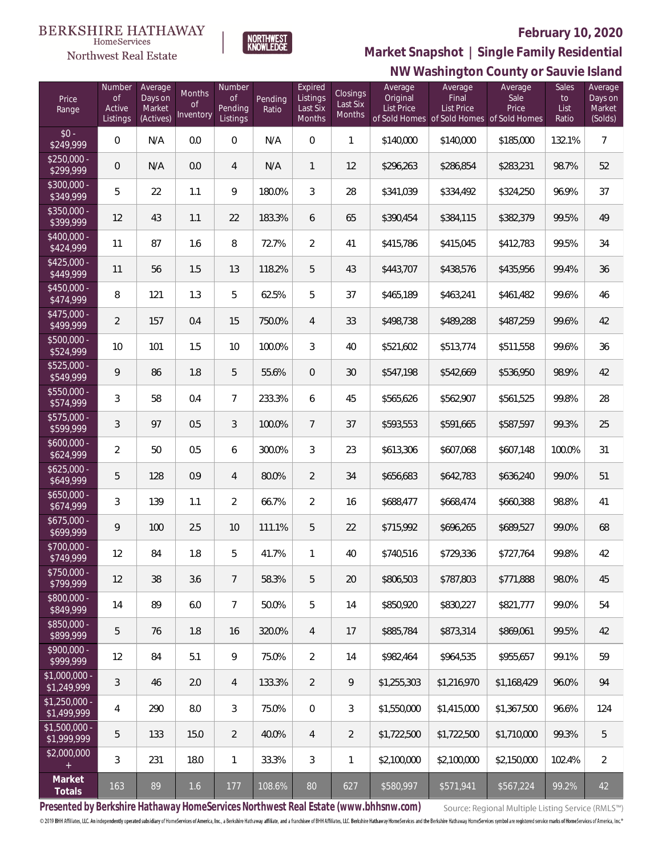

 $\label{lem:sevices} \textsc{Home} \textsc{Service} \textsc{s}$ Northwest Real Estate

# **NW Washington County or Sauvie Island Market Snapshot | Single Family Residential**

| Price<br>Range                | Number<br>$\mathsf{of}$<br>Active<br>Listings | Average<br>Days on<br>Market<br>(Actives) | Months<br><b>of</b><br>Inventory | Number<br>Οf<br><b>Pending</b><br>Listings | Pending<br>Ratio | Expired<br>Listings<br>Last Six<br>Months | Closings<br>Last Six<br>Months | Average<br>Original<br><b>List Price</b> | Average<br>Final<br>List Price<br>of Sold Homes of Sold Homes of Sold Homes | Average<br>Sale<br>Price | Sales<br>to<br>List<br>Ratio | Average<br>Days on<br>Market<br>(Solds) |
|-------------------------------|-----------------------------------------------|-------------------------------------------|----------------------------------|--------------------------------------------|------------------|-------------------------------------------|--------------------------------|------------------------------------------|-----------------------------------------------------------------------------|--------------------------|------------------------------|-----------------------------------------|
| $$0 -$<br>\$249,999           | 0                                             | N/A                                       | 0.0                              | $\boldsymbol{0}$                           | N/A              | $\overline{0}$                            | $\mathbf{1}$                   | \$140,000                                | \$140,000                                                                   | \$185,000                | 132.1%                       | $\overline{7}$                          |
| $$250,000 -$<br>\$299,999     | 0                                             | N/A                                       | $0.0\,$                          | 4                                          | N/A              | $\mathbf{1}$                              | 12                             | \$296,263                                | \$286,854                                                                   | \$283,231                | 98.7%                        | 52                                      |
| $$300,000 -$<br>\$349,999     | 5                                             | 22                                        | 1.1                              | 9                                          | 180.0%           | 3                                         | 28                             | \$341,039                                | \$334,492                                                                   | \$324,250                | 96.9%                        | 37                                      |
| $$350,000 -$<br>\$399,999     | 12                                            | 43                                        | 1.1                              | 22                                         | 183.3%           | 6                                         | 65                             | \$390,454                                | \$384,115                                                                   | \$382,379                | 99.5%                        | 49                                      |
| \$400,000 -<br>\$424,999      | 11                                            | 87                                        | 1.6                              | 8                                          | 72.7%            | $\overline{2}$                            | 41                             | \$415,786                                | \$415,045                                                                   | \$412,783                | 99.5%                        | 34                                      |
| $$425,000 -$<br>\$449,999     | 11                                            | 56                                        | 1.5                              | 13                                         | 118.2%           | 5                                         | 43                             | \$443,707                                | \$438,576                                                                   | \$435,956                | 99.4%                        | 36                                      |
| $$450,000 -$<br>\$474,999     | 8                                             | 121                                       | 1.3                              | 5                                          | 62.5%            | 5                                         | 37                             | \$465,189                                | \$463,241                                                                   | \$461,482                | 99.6%                        | 46                                      |
| \$475,000 -<br>\$499,999      | 2                                             | 157                                       | 0.4                              | 15                                         | 750.0%           | $\overline{4}$                            | 33                             | \$498,738                                | \$489,288                                                                   | \$487,259                | 99.6%                        | 42                                      |
| \$500,000 -<br>\$524,999      | 10                                            | 101                                       | 1.5                              | 10                                         | 100.0%           | 3                                         | 40                             | \$521,602                                | \$513,774                                                                   | \$511,558                | 99.6%                        | 36                                      |
| \$525,000 -<br>\$549,999      | 9                                             | 86                                        | 1.8                              | 5                                          | 55.6%            | $\overline{0}$                            | 30                             | \$547,198                                | \$542,669                                                                   | \$536,950                | 98.9%                        | 42                                      |
| \$550,000 -<br>\$574,999      | 3                                             | 58                                        | 0.4                              | $\overline{7}$                             | 233.3%           | 6                                         | 45                             | \$565,626                                | \$562,907                                                                   | \$561,525                | 99.8%                        | 28                                      |
| \$575,000 -<br>\$599,999      | 3                                             | 97                                        | 0.5                              | 3                                          | 100.0%           | $7\overline{ }$                           | 37                             | \$593,553                                | \$591,665                                                                   | \$587,597                | 99.3%                        | 25                                      |
| $$600,000 -$<br>\$624,999     | $\overline{2}$                                | 50                                        | 0.5                              | 6                                          | 300.0%           | 3                                         | 23                             | \$613,306                                | \$607,068                                                                   | \$607,148                | 100.0%                       | 31                                      |
| $$625,000 -$<br>\$649,999     | 5                                             | 128                                       | 0.9                              | $\overline{4}$                             | 80.0%            | $\overline{2}$                            | 34                             | \$656,683                                | \$642,783                                                                   | \$636,240                | 99.0%                        | 51                                      |
| $$650,000 -$<br>\$674,999     | 3                                             | 139                                       | 1.1                              | $\overline{2}$                             | 66.7%            | $\overline{2}$                            | 16                             | \$688,477                                | \$668,474                                                                   | \$660,388                | 98.8%                        | 41                                      |
| $$675,000 -$<br>\$699,999     | 9                                             | 100                                       | 2.5                              | 10                                         | 111.1%           | 5                                         | 22                             | \$715,992                                | \$696,265                                                                   | \$689,527                | 99.0%                        | 68                                      |
| \$700,000 -<br>\$749,999      | 12                                            | 84                                        | 1.8                              | 5                                          | 41.7%            | 1                                         | 40                             | \$740,516                                | \$729,336                                                                   | \$727,764                | 99.8%                        | 42                                      |
| \$750,000 -<br>\$799,999      | 12                                            | 38                                        | 3.6                              | $\overline{7}$                             | 58.3%            | 5                                         | 20                             | \$806,503                                | \$787,803                                                                   | \$771,888                | 98.0%                        | 45                                      |
| \$800,000 -<br>\$849,999      | 14                                            | 89                                        | 6.0                              | $\overline{7}$                             | 50.0%            | 5                                         | 14                             | \$850,920                                | \$830,227                                                                   | \$821,777                | 99.0%                        | 54                                      |
| \$850,000 -<br>\$899,999      | 5                                             | 76                                        | 1.8                              | 16                                         | 320.0%           | $\overline{4}$                            | 17                             | \$885,784                                | \$873,314                                                                   | \$869,061                | 99.5%                        | 42                                      |
| \$900,000 -<br>\$999,999      | 12                                            | 84                                        | 5.1                              | 9                                          | 75.0%            | $\overline{2}$                            | 14                             | \$982,464                                | \$964.535                                                                   | \$955,657                | 99.1%                        | 59                                      |
| \$1,000,000 -<br>\$1,249,999  | 3                                             | 46                                        | 2.0                              | $\overline{4}$                             | 133.3%           | $\overline{2}$                            | 9                              | \$1,255,303                              | \$1,216,970                                                                 | \$1,168,429              | 96.0%                        | 94                                      |
| $$1,250,000 -$<br>\$1,499,999 | 4                                             | 290                                       | 8.0                              | 3                                          | 75.0%            | $\overline{0}$                            | 3                              | \$1,550,000                              | \$1,415,000                                                                 | \$1,367,500              | 96.6%                        | 124                                     |
| $$1,500,000 -$<br>\$1,999,999 | 5                                             | 133                                       | 15.0                             | $\overline{2}$                             | 40.0%            | $\overline{4}$                            | $\overline{2}$                 | \$1,722,500                              | \$1,722,500                                                                 | \$1,710,000              | 99.3%                        | 5                                       |
| \$2,000,000                   | 3                                             | 231                                       | 18.0                             | $\mathbf{1}$                               | 33.3%            | 3                                         | 1                              | \$2,100,000                              | \$2,100,000                                                                 | \$2,150,000              | 102.4%                       | $\overline{2}$                          |
| Market<br>Totals              | 163                                           | 89                                        | 1.6                              | 177                                        | 108.6%           | 80                                        | 627                            | \$580,997                                | \$571,941                                                                   | \$567,224                | 99.2%                        | 42                                      |

**Presented by Berkshire Hathaway HomeServices Northwest Real Estate (www.bhhsnw.com)**

Source: Regional Multiple Listing Service (RMLS™)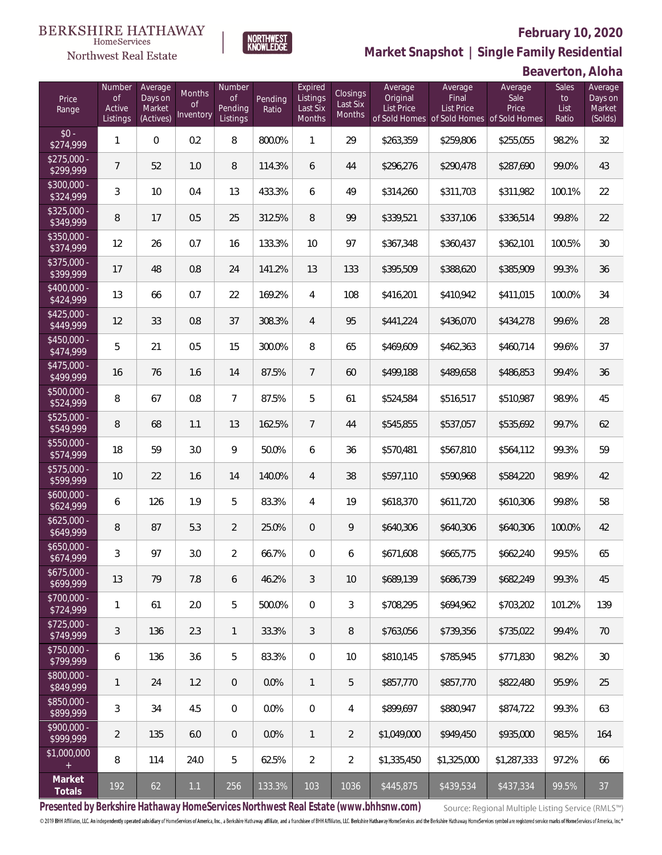

**NORTHWEST**<br>KNOWLEDGE

Northwest Real Estate

**Market Snapshot | Single Family Residential**

**Beaverton, Aloha**

| Price<br>Range            | Number<br>of<br>Active<br>Listings | Average<br>Days on<br>Market<br>(Actives) | Months<br>Οf<br>Inventory | Number<br>Οf<br>Pending<br>Listings | Pending<br>Ratio | Expired<br>Listings<br>Last Six<br>Months | Closings<br>Last Six<br>Months | Average<br>Original<br><b>List Price</b> | Average<br>Final<br>List Price<br>of Sold Homes of Sold Homes of Sold Homes | Average<br>Sale<br>Price | Sales<br>to<br>List<br>Ratio | Average<br>Days on<br>Market<br>(Solds) |
|---------------------------|------------------------------------|-------------------------------------------|---------------------------|-------------------------------------|------------------|-------------------------------------------|--------------------------------|------------------------------------------|-----------------------------------------------------------------------------|--------------------------|------------------------------|-----------------------------------------|
| $$0 -$<br>\$274,999       | 1                                  | $\overline{0}$                            | 0.2                       | 8                                   | 800.0%           | 1                                         | 29                             | \$263,359                                | \$259,806                                                                   | \$255,055                | 98.2%                        | 32                                      |
| $$275,000 -$<br>\$299,999 | $\overline{7}$                     | 52                                        | 1.0                       | 8                                   | 114.3%           | 6                                         | 44                             | \$296,276                                | \$290,478                                                                   | \$287,690                | 99.0%                        | 43                                      |
| $$300,000 -$<br>\$324,999 | 3                                  | 10                                        | 0.4                       | 13                                  | 433.3%           | 6                                         | 49                             | \$314,260                                | \$311,703                                                                   | \$311,982                | 100.1%                       | 22                                      |
| $$325,000 -$<br>\$349,999 | 8                                  | 17                                        | 0.5                       | 25                                  | 312.5%           | 8                                         | 99                             | \$339,521                                | \$337,106                                                                   | \$336,514                | 99.8%                        | 22                                      |
| \$350,000 -<br>\$374,999  | 12                                 | 26                                        | 0.7                       | 16                                  | 133.3%           | 10                                        | 97                             | \$367,348                                | \$360,437                                                                   | \$362,101                | 100.5%                       | 30                                      |
| $$375,000 -$<br>\$399,999 | 17                                 | 48                                        | 0.8                       | 24                                  | 141.2%           | 13                                        | 133                            | \$395,509                                | \$388,620                                                                   | \$385,909                | 99.3%                        | 36                                      |
| \$400,000 -<br>\$424,999  | 13                                 | 66                                        | 0.7                       | 22                                  | 169.2%           | $\overline{4}$                            | 108                            | \$416,201                                | \$410,942                                                                   | \$411,015                | 100.0%                       | 34                                      |
| $$425,000 -$<br>\$449,999 | 12                                 | 33                                        | 0.8                       | 37                                  | 308.3%           | $\overline{4}$                            | 95                             | \$441,224                                | \$436,070                                                                   | \$434,278                | 99.6%                        | 28                                      |
| $$450,000 -$<br>\$474,999 | 5                                  | 21                                        | 0.5                       | 15                                  | 300.0%           | 8                                         | 65                             | \$469,609                                | \$462,363                                                                   | \$460,714                | 99.6%                        | 37                                      |
| $$475,000 -$<br>\$499,999 | 16                                 | 76                                        | 1.6                       | 14                                  | 87.5%            | $\overline{7}$                            | 60                             | \$499,188                                | \$489,658                                                                   | \$486,853                | 99.4%                        | 36                                      |
| \$500,000 -<br>\$524,999  | 8                                  | 67                                        | 0.8                       | $\overline{7}$                      | 87.5%            | 5                                         | 61                             | \$524,584                                | \$516,517                                                                   | \$510,987                | 98.9%                        | 45                                      |
| \$525,000 -<br>\$549,999  | 8                                  | 68                                        | 1.1                       | 13                                  | 162.5%           | $7\phantom{.0}$                           | 44                             | \$545,855                                | \$537,057                                                                   | \$535,692                | 99.7%                        | 62                                      |
| \$550,000 -<br>\$574,999  | 18                                 | 59                                        | 3.0                       | 9                                   | 50.0%            | 6                                         | 36                             | \$570,481                                | \$567,810                                                                   | \$564,112                | 99.3%                        | 59                                      |
| $$575,000 -$<br>\$599,999 | 10                                 | 22                                        | 1.6                       | 14                                  | 140.0%           | $\overline{4}$                            | 38                             | \$597,110                                | \$590,968                                                                   | \$584,220                | 98.9%                        | 42                                      |
| $$600,000 -$<br>\$624,999 | 6                                  | 126                                       | 1.9                       | 5                                   | 83.3%            | 4                                         | 19                             | \$618,370                                | \$611,720                                                                   | \$610,306                | 99.8%                        | 58                                      |
| $$625,000 -$<br>\$649,999 | 8                                  | 87                                        | 5.3                       | $\overline{2}$                      | 25.0%            | $\overline{0}$                            | 9                              | \$640,306                                | \$640,306                                                                   | \$640,306                | 100.0%                       | 42                                      |
| $$650,000 -$<br>\$674,999 | 3                                  | 97                                        | 3.0                       | $\overline{2}$                      | 66.7%            | $\mathbf{0}$                              | 6                              | \$671,608                                | \$665,775                                                                   | \$662,240                | 99.5%                        | 65                                      |
| $$675,000 -$<br>\$699,999 | 13                                 | 79                                        | 7.8                       | 6                                   | 46.2%            | 3                                         | 10                             | \$689,139                                | \$686,739                                                                   | \$682,249                | 99.3%                        | 45                                      |
| $$700,000 -$<br>\$724,999 | 1                                  | 61                                        | 2.0                       | 5                                   | 500.0%           | $\mathbf{0}$                              | 3                              | \$708,295                                | \$694,962                                                                   | \$703,202                | 101.2%                       | 139                                     |
| $$725,000 -$<br>\$749,999 | 3                                  | 136                                       | 2.3                       | $\mathbf{1}$                        | 33.3%            | 3                                         | 8                              | \$763.056                                | \$739.356                                                                   | \$735.022                | 99.4%                        | 70                                      |
| $$750,000 -$<br>\$799,999 | 6                                  | 136                                       | 3.6                       | 5                                   | 83.3%            | $\overline{0}$                            | 10                             | \$810,145                                | \$785,945                                                                   | \$771,830                | 98.2%                        | 30                                      |
| \$800,000 -<br>\$849,999  | 1                                  | 24                                        | 1.2                       | $\overline{0}$                      | 0.0%             | $\mathbf{1}$                              | 5                              | \$857,770                                | \$857,770                                                                   | \$822,480                | 95.9%                        | 25                                      |
| \$850,000 -<br>\$899,999  | 3                                  | 34                                        | 4.5                       | $\overline{0}$                      | 0.0%             | $\overline{0}$                            | 4                              | \$899,697                                | \$880,947                                                                   | \$874,722                | 99.3%                        | 63                                      |
| $$900,000 -$<br>\$999,999 | $\overline{2}$                     | 135                                       | 6.0                       | $\overline{0}$                      | 0.0%             | $\mathbf{1}$                              | $\overline{2}$                 | \$1,049,000                              | \$949,450                                                                   | \$935,000                | 98.5%                        | 164                                     |
| \$1,000,000               | 8                                  | 114                                       | 24.0                      | 5                                   | 62.5%            | $\overline{2}$                            | $\overline{2}$                 | \$1,335,450                              | \$1,325,000                                                                 | \$1,287,333              | 97.2%                        | 66                                      |
| Market<br>Totals          | 192                                | 62                                        | 1.1                       | 256                                 | 133.3%           | 103                                       | 1036                           | \$445,875                                | \$439,534                                                                   | \$437,334                | 99.5%                        | 37                                      |

**Presented by Berkshire Hathaway HomeServices Northwest Real Estate (www.bhhsnw.com)**

Source: Regional Multiple Listing Service (RMLS™)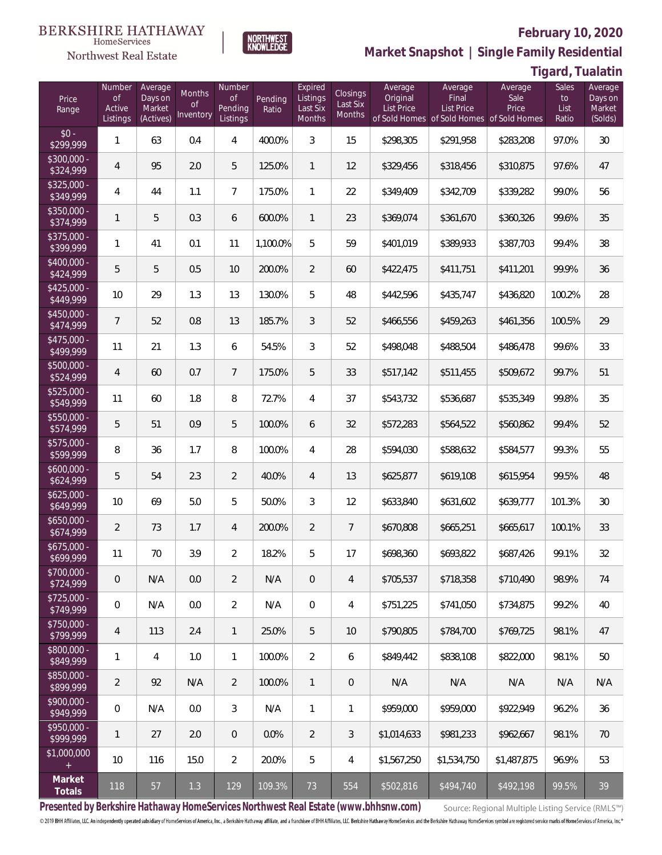#### **BERKSHIRE HATHAWAY** HomeServices



#### **February 10, 2020**

**Market Snapshot | Single Family Residential**

### **Tigard, Tualatin**

| Price<br>Range            | Number<br><b>of</b><br>Active<br>Listings | Average<br>Days on<br>Market<br>(Actives) | Months<br>0f<br>Inventory | Number<br><b>of</b><br>Pending<br>Listings | Pending<br>Ratio | Expired<br>Listings<br>Last Six<br><b>Months</b> | Closings<br>Last Six<br>Months | Average<br>Original<br><b>List Price</b> | Average<br>Final<br>List Price<br>of Sold Homes of Sold Homes | Average<br>Sale<br>Price<br>of Sold Homes | Sales<br>to<br>List<br>Ratio | Average<br>Days on<br>Market<br>(Solds) |
|---------------------------|-------------------------------------------|-------------------------------------------|---------------------------|--------------------------------------------|------------------|--------------------------------------------------|--------------------------------|------------------------------------------|---------------------------------------------------------------|-------------------------------------------|------------------------------|-----------------------------------------|
| $$0 -$<br>\$299,999       | 1                                         | 63                                        | 0.4                       | 4                                          | 400.0%           | 3                                                | 15                             | \$298,305                                | \$291,958                                                     | \$283,208                                 | 97.0%                        | 30                                      |
| \$300,000 -<br>\$324,999  | $\overline{4}$                            | 95                                        | 2.0                       | 5                                          | 125.0%           | $\mathbf{1}$                                     | 12                             | \$329,456                                | \$318,456                                                     | \$310,875                                 | 97.6%                        | 47                                      |
| $$325,000 -$<br>\$349,999 | $\overline{4}$                            | 44                                        | 1.1                       | $7\overline{ }$                            | 175.0%           | $\mathbf{1}$                                     | 22                             | \$349,409                                | \$342,709                                                     | \$339,282                                 | 99.0%                        | 56                                      |
| \$350,000 -<br>\$374,999  | 1                                         | 5                                         | 0.3                       | 6                                          | 600.0%           | $\mathbf{1}$                                     | 23                             | \$369,074                                | \$361,670                                                     | \$360,326                                 | 99.6%                        | 35                                      |
| \$375,000 -<br>\$399,999  | 1                                         | 41                                        | 0.1                       | 11                                         | 1,100.0%         | 5                                                | 59                             | \$401,019                                | \$389,933                                                     | \$387,703                                 | 99.4%                        | 38                                      |
| \$400,000 -<br>\$424,999  | 5                                         | 5                                         | 0.5                       | 10                                         | 200.0%           | $\overline{2}$                                   | 60                             | \$422,475                                | \$411,751                                                     | \$411,201                                 | 99.9%                        | 36                                      |
| $$425,000 -$<br>\$449,999 | 10                                        | 29                                        | 1.3                       | 13                                         | 130.0%           | 5                                                | 48                             | \$442,596                                | \$435,747                                                     | \$436,820                                 | 100.2%                       | 28                                      |
| $$450,000 -$<br>\$474,999 | $\overline{7}$                            | 52                                        | 0.8                       | 13                                         | 185.7%           | 3                                                | 52                             | \$466,556                                | \$459,263                                                     | \$461,356                                 | 100.5%                       | 29                                      |
| $$475,000 -$<br>\$499,999 | 11                                        | 21                                        | 1.3                       | 6                                          | 54.5%            | 3                                                | 52                             | \$498,048                                | \$488,504                                                     | \$486,478                                 | 99.6%                        | 33                                      |
| $$500,000 -$<br>\$524,999 | $\overline{4}$                            | 60                                        | 0.7                       | $\overline{7}$                             | 175.0%           | 5                                                | 33                             | \$517,142                                | \$511,455                                                     | \$509,672                                 | 99.7%                        | 51                                      |
| $$525,000 -$<br>\$549,999 | 11                                        | 60                                        | 1.8                       | 8                                          | 72.7%            | 4                                                | 37                             | \$543,732                                | \$536,687                                                     | \$535,349                                 | 99.8%                        | 35                                      |
| \$550,000 -<br>\$574,999  | 5                                         | 51                                        | 0.9                       | 5                                          | 100.0%           | 6                                                | 32                             | \$572,283                                | \$564,522                                                     | \$560,862                                 | 99.4%                        | 52                                      |
| $$575,000 -$<br>\$599,999 | 8                                         | 36                                        | 1.7                       | 8                                          | 100.0%           | 4                                                | 28                             | \$594,030                                | \$588,632                                                     | \$584,577                                 | 99.3%                        | 55                                      |
| $$600,000 -$<br>\$624,999 | 5                                         | 54                                        | 2.3                       | $\overline{2}$                             | 40.0%            | $\overline{4}$                                   | 13                             | \$625,877                                | \$619,108                                                     | \$615,954                                 | 99.5%                        | 48                                      |
| $$625,000 -$<br>\$649,999 | 10                                        | 69                                        | 5.0                       | 5                                          | 50.0%            | 3                                                | 12                             | \$633,840                                | \$631,602                                                     | \$639,777                                 | 101.3%                       | 30                                      |
| $$650,000 -$<br>\$674,999 | $\overline{2}$                            | 73                                        | 1.7                       | 4                                          | 200.0%           | $\overline{2}$                                   | $\overline{7}$                 | \$670,808                                | \$665,251                                                     | \$665,617                                 | 100.1%                       | 33                                      |
| $$675,000 -$<br>\$699,999 | 11                                        | 70                                        | 3.9                       | $\overline{2}$                             | 18.2%            | 5                                                | 17                             | \$698,360                                | \$693,822                                                     | \$687,426                                 | 99.1%                        | 32                                      |
| $$700,000 -$<br>\$724,999 | 0                                         | N/A                                       | 0.0                       | $\overline{2}$                             | N/A              | $\mathbf 0$                                      | 4                              | \$705,537                                | \$718,358                                                     | \$710,490                                 | 98.9%                        | 74                                      |
| $$725,000 -$<br>\$749,999 | $\boldsymbol{0}$                          | N/A                                       | 0.0                       | $\overline{2}$                             | N/A              | $\mathbf{0}$                                     | 4                              | \$751,225                                | \$741,050                                                     | \$734,875                                 | 99.2%                        | 40                                      |
| $$750,000 -$<br>\$799,999 | 4                                         | 113                                       | 2.4                       | $\mathbf{1}$                               | 25.0%            | 5                                                | 10 <sup>°</sup>                | \$790,805                                | \$784,700                                                     | \$769,725                                 | 98.1%                        | 47                                      |
| $$800,000 -$<br>\$849,999 | 1                                         | 4                                         | 1.0                       | $\mathbf{1}$                               | 100.0%           | $\overline{2}$                                   | 6                              | \$849,442                                | \$838,108                                                     | \$822,000                                 | 98.1%                        | 50                                      |
| $$850,000 -$<br>\$899,999 | $\overline{2}$                            | 92                                        | N/A                       | $\overline{2}$                             | 100.0%           | $\mathbf{1}$                                     | $\mathbf 0$                    | N/A                                      | N/A                                                           | N/A                                       | N/A                          | N/A                                     |
| $$900,000 -$<br>\$949,999 | $\boldsymbol{0}$                          | N/A                                       | 0.0                       | 3                                          | N/A              | $\mathbf{1}$                                     | 1                              | \$959,000                                | \$959,000                                                     | \$922.949                                 | 96.2%                        | 36                                      |
| $$950,000 -$<br>\$999,999 | $\mathbf{1}$                              | 27                                        | 2.0                       | $\overline{0}$                             | 0.0%             | $\overline{2}$                                   | $\mathfrak{Z}$                 | \$1,014,633                              | \$981,233                                                     | \$962,667                                 | 98.1%                        | 70                                      |
| \$1,000,000<br>$+$        | 10                                        | 116                                       | 15.0                      | $\overline{2}$                             | 20.0%            | 5                                                | 4                              | \$1,567,250                              | \$1,534,750                                                   | \$1,487,875                               | 96.9%                        | 53                                      |
| Market<br>Totals          | 118                                       | 57                                        | $1.3\,$                   | 129                                        | 109.3%           | 73                                               | 554                            | \$502,816                                | \$494,740                                                     | \$492,198                                 | 99.5%                        | 39                                      |

**NORTHWEST**<br>KNOWLEDGE

**Presented by Berkshire Hathaway HomeServices Northwest Real Estate (www.bhhsnw.com)**

Source: Regional Multiple Listing Service (RMLS™)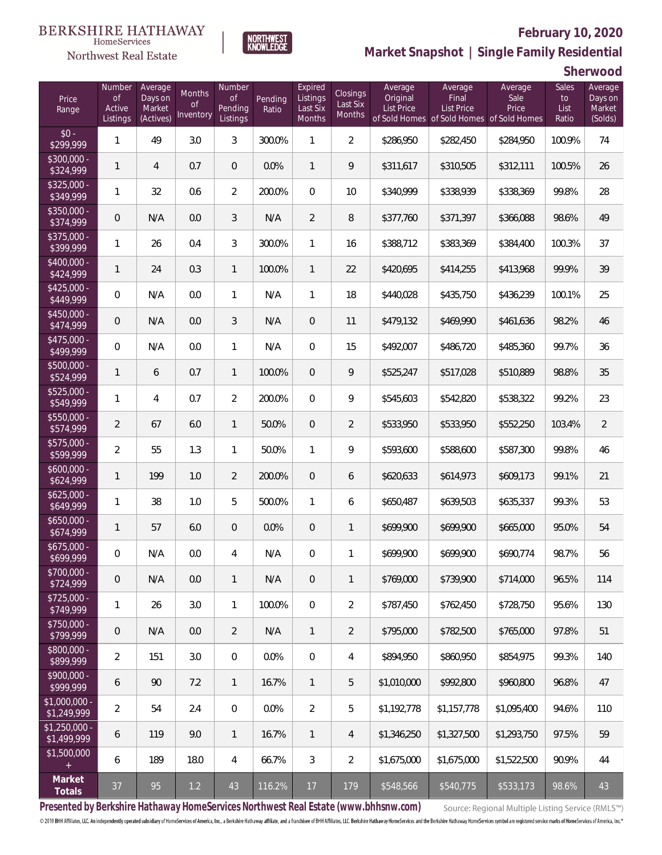

**NORTHWEST**<br>KNOWLEDGE

Northwest Real Estate

**Market Snapshot | Single Family Residential**

**Sherwood**

| Price<br>Range                | Number<br><b>of</b><br>Active<br>Listings | Average<br>Days on<br>Market<br>(Actives) | Months<br>0f<br>Inventory | Number<br>of<br>Pending<br>Listings | Pending<br>Ratio | Expired<br>Listings<br>Last Six<br>Months | <b>Closings</b><br>Last Six<br>Months | Average<br>Original<br><b>List Price</b><br>of Sold Homes | Average<br>Final<br><b>List Price</b><br>of Sold Homes of Sold Homes | Average<br>Sale<br>Price | Sales<br>to<br>List<br>Ratio | Average<br>Days on<br>Market<br>(Solds) |
|-------------------------------|-------------------------------------------|-------------------------------------------|---------------------------|-------------------------------------|------------------|-------------------------------------------|---------------------------------------|-----------------------------------------------------------|----------------------------------------------------------------------|--------------------------|------------------------------|-----------------------------------------|
| $$0 -$<br>\$299,999           | 1                                         | 49                                        | 3.0                       | 3                                   | 300.0%           | $\mathbf{1}$                              | $\overline{2}$                        | \$286,950                                                 | \$282,450                                                            | \$284,950                | 100.9%                       | 74                                      |
| $$300,000 -$<br>\$324,999     | 1                                         | $\overline{4}$                            | 0.7                       | $\overline{0}$                      | 0.0%             | $\mathbf{1}$                              | 9                                     | \$311,617                                                 | \$310,505                                                            | \$312,111                | 100.5%                       | 26                                      |
| $$325,000 -$<br>\$349,999     | 1                                         | 32                                        | 0.6                       | $\overline{2}$                      | 200.0%           | $\overline{0}$                            | 10                                    | \$340,999                                                 | \$338,939                                                            | \$338,369                | 99.8%                        | 28                                      |
| $$350,000 -$<br>\$374,999     | 0                                         | N/A                                       | 0.0                       | 3                                   | N/A              | $\overline{2}$                            | 8                                     | \$377,760                                                 | \$371,397                                                            | \$366,088                | 98.6%                        | 49                                      |
| $$375,000 -$<br>\$399,999     | 1                                         | 26                                        | 0.4                       | 3                                   | 300.0%           | $\mathbf{1}$                              | 16                                    | \$388,712                                                 | \$383,369                                                            | \$384,400                | 100.3%                       | 37                                      |
| $$400,000 -$<br>\$424,999     | 1                                         | 24                                        | 0.3                       | $\mathbf{1}$                        | 100.0%           | $\mathbf{1}$                              | 22                                    | \$420,695                                                 | \$414,255                                                            | \$413,968                | 99.9%                        | 39                                      |
| $$425,000 -$<br>\$449,999     | 0                                         | N/A                                       | 0.0                       | $\mathbf{1}$                        | N/A              | $\mathbf{1}$                              | 18                                    | \$440,028                                                 | \$435,750                                                            | \$436,239                | 100.1%                       | 25                                      |
| $$450,000 -$<br>\$474,999     | 0                                         | N/A                                       | 0.0                       | 3                                   | N/A              | $\overline{0}$                            | 11                                    | \$479,132                                                 | \$469,990                                                            | \$461,636                | 98.2%                        | 46                                      |
| $$475,000 -$<br>\$499,999     | 0                                         | N/A                                       | 0.0                       | $\mathbf{1}$                        | N/A              | $\overline{0}$                            | 15                                    | \$492,007                                                 | \$486,720                                                            | \$485,360                | 99.7%                        | 36                                      |
| $$500,000 -$<br>\$524,999     | 1                                         | 6                                         | 0.7                       | $\mathbf{1}$                        | 100.0%           | $\overline{0}$                            | 9                                     | \$525,247                                                 | \$517,028                                                            | \$510,889                | 98.8%                        | 35                                      |
| $$525,000 -$<br>\$549,999     | 1                                         | $\overline{4}$                            | 0.7                       | $\overline{2}$                      | 200.0%           | $\Omega$                                  | 9                                     | \$545,603                                                 | \$542,820                                                            | \$538,322                | 99.2%                        | 23                                      |
| \$550,000 -<br>\$574,999      | $\overline{2}$                            | 67                                        | 6.0                       | $\mathbf{1}$                        | 50.0%            | $\overline{0}$                            | $\overline{2}$                        | \$533,950                                                 | \$533,950                                                            | \$552,250                | 103.4%                       | $\overline{2}$                          |
| \$575,000 -<br>\$599,999      | $\overline{2}$                            | 55                                        | 1.3                       | $\mathbf{1}$                        | 50.0%            | $\mathbf{1}$                              | 9                                     | \$593,600                                                 | \$588,600                                                            | \$587,300                | 99.8%                        | 46                                      |
| $$600,000 -$<br>\$624,999     | 1                                         | 199                                       | 1.0                       | $\overline{2}$                      | 200.0%           | $\overline{0}$                            | 6                                     | \$620,633                                                 | \$614,973                                                            | \$609,173                | 99.1%                        | 21                                      |
| $$625,000 -$<br>\$649,999     | 1                                         | 38                                        | 1.0                       | 5                                   | 500.0%           | $\mathbf{1}$                              | 6                                     | \$650,487                                                 | \$639,503                                                            | \$635,337                | 99.3%                        | 53                                      |
| $$650,000 -$<br>\$674,999     | 1                                         | 57                                        | 6.0                       | $\overline{0}$                      | 0.0%             | $\overline{0}$                            | $\mathbf{1}$                          | \$699,900                                                 | \$699,900                                                            | \$665,000                | 95.0%                        | 54                                      |
| $$675,000 -$<br>\$699,999     | 0                                         | N/A                                       | 0.0                       | 4                                   | N/A              | $\overline{0}$                            | $\mathbf{1}$                          | \$699,900                                                 | \$699,900                                                            | \$690,774                | 98.7%                        | 56                                      |
| \$700,000 -<br>\$724,999      | 0                                         | N/A                                       | 0.0                       | $\mathbf{1}$                        | N/A              | $\theta$                                  | $\mathbf{1}$                          | \$769,000                                                 | \$739,900                                                            | \$714,000                | 96.5%                        | 114                                     |
| $$725,000 -$<br>\$749,999     | $\mathbf{1}$                              | 26                                        | 3.0                       | $\mathbf{1}$                        | 100.0%           | $\overline{0}$                            | $\overline{2}$                        | \$787,450                                                 | \$762,450                                                            | \$728,750                | 95.6%                        | 130                                     |
| $$750,000 -$<br>\$799,999     | $\mathbf 0$                               | N/A                                       | 0.0                       | $\overline{2}$                      | N/A              | $\mathbf{1}$                              | $\overline{2}$                        | \$795,000                                                 | \$782,500                                                            | \$765,000                | 97.8%                        | 51                                      |
| $$800,000 -$<br>\$899,999     | $\overline{2}$                            | 151                                       | 3.0                       | $\mathbf 0$                         | 0.0%             | $\boldsymbol{0}$                          | 4                                     | \$894,950                                                 | \$860,950                                                            | \$854,975                | 99.3%                        | 140                                     |
| $$900,000 -$<br>\$999,999     | 6                                         | 90                                        | 7.2                       | $\mathbf{1}$                        | 16.7%            | $\mathbf{1}$                              | 5                                     | \$1,010,000                                               | \$992,800                                                            | \$960,800                | 96.8%                        | 47                                      |
| $$1,000,000 -$<br>\$1,249,999 | $\overline{2}$                            | 54                                        | 2.4                       | $\mathbf 0$                         | 0.0%             | $\overline{2}$                            | 5                                     | \$1,192,778                                               | \$1,157,778                                                          | \$1,095,400              | 94.6%                        | 110                                     |
| $$1,250,000 -$<br>\$1,499,999 | 6                                         | 119                                       | 9.0                       | $\mathbf{1}$                        | 16.7%            | $\mathbf{1}$                              | $\overline{4}$                        | \$1,346,250                                               | \$1,327,500                                                          | \$1,293,750              | 97.5%                        | 59                                      |
| \$1,500,000<br>$+$            | 6                                         | 189                                       | 18.0                      | $\overline{4}$                      | 66.7%            | $\mathfrak{Z}$                            | $\overline{2}$                        | \$1,675,000                                               | \$1,675,000                                                          | \$1,522,500              | 90.9%                        | 44                                      |
| Market<br>Totals              | 37                                        | 95                                        | $1.2\,$                   | 43                                  | 116.2%           | 17                                        | 179                                   | \$548,566                                                 | \$540,775                                                            | \$533,173                | 98.6%                        | 43                                      |

**Presented by Berkshire Hathaway HomeServices Northwest Real Estate (www.bhhsnw.com)**

Source: Regional Multiple Listing Service (RMLS™)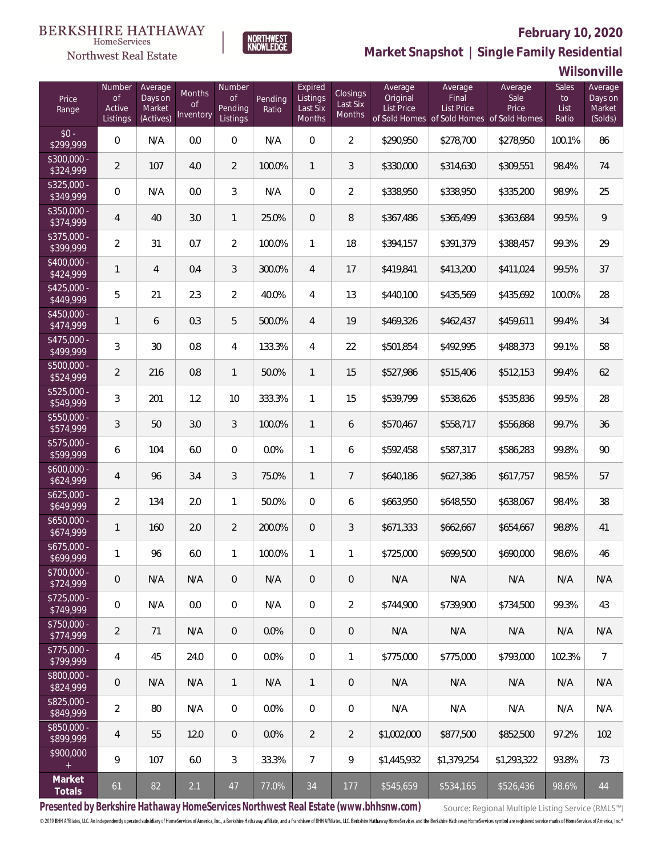

 $\label{lem:sevices} \textsc{Home} \textsc{Service} \textsc{s}$ 

**Market Snapshot | Single Family Residential**

#### **Wilsonville**

| Price<br>Range            | Number<br>of<br>Active<br>Listings | Average<br>Days on<br>Market<br>(Actives) | Months<br>0f<br>Inventory | Number<br>Οf<br>Pending<br>Listings | Pending<br>Ratio | Expired<br>Listings<br>Last Six<br><b>Months</b> | Closings<br>Last Six<br><b>Months</b> | Average<br>Original<br><b>List Price</b> | Average<br>Final<br>List Price<br>of Sold Homes of Sold Homes of Sold Homes | Average<br>Sale<br>Price | Sales<br>to<br>List<br>Ratio | Average<br>Days on<br>Market<br>(Solds) |
|---------------------------|------------------------------------|-------------------------------------------|---------------------------|-------------------------------------|------------------|--------------------------------------------------|---------------------------------------|------------------------------------------|-----------------------------------------------------------------------------|--------------------------|------------------------------|-----------------------------------------|
| $$0 -$<br>\$299,999       | 0                                  | N/A                                       | 0.0                       | $\overline{0}$                      | N/A              | $\overline{0}$                                   | $\overline{2}$                        | \$290,950                                | \$278,700                                                                   | \$278,950                | 100.1%                       | 86                                      |
| $$300,000 -$<br>\$324,999 | $\overline{2}$                     | 107                                       | 4.0                       | $\overline{2}$                      | 100.0%           | 1                                                | 3                                     | \$330,000                                | \$314,630                                                                   | \$309,551                | 98.4%                        | 74                                      |
| $$325,000 -$<br>\$349,999 | 0                                  | N/A                                       | 0.0                       | 3                                   | N/A              | $\overline{0}$                                   | $\overline{2}$                        | \$338,950                                | \$338,950                                                                   | \$335,200                | 98.9%                        | 25                                      |
| \$350,000 -<br>\$374,999  | 4                                  | 40                                        | 3.0                       | $\mathbf{1}$                        | 25.0%            | $\overline{0}$                                   | 8                                     | \$367,486                                | \$365,499                                                                   | \$363,684                | 99.5%                        | $\,9$                                   |
| $$375,000 -$<br>\$399,999 | $\overline{2}$                     | 31                                        | 0.7                       | $\overline{2}$                      | 100.0%           | 1                                                | 18                                    | \$394,157                                | \$391,379                                                                   | \$388,457                | 99.3%                        | 29                                      |
| \$400,000 -<br>\$424,999  | 1                                  | $\overline{4}$                            | 0.4                       | 3                                   | 300.0%           | $\overline{4}$                                   | 17                                    | \$419,841                                | \$413,200                                                                   | \$411,024                | 99.5%                        | 37                                      |
| $$425,000 -$<br>\$449,999 | 5                                  | 21                                        | 2.3                       | $\overline{2}$                      | 40.0%            | $\overline{4}$                                   | 13                                    | \$440,100                                | \$435,569                                                                   | \$435,692                | 100.0%                       | 28                                      |
| \$450,000 -<br>\$474,999  | 1                                  | 6                                         | 0.3                       | 5                                   | 500.0%           | $\overline{4}$                                   | 19                                    | \$469,326                                | \$462,437                                                                   | \$459,611                | 99.4%                        | 34                                      |
| $$475,000 -$<br>\$499,999 | 3                                  | 30                                        | 0.8                       | $\overline{4}$                      | 133.3%           | $\overline{4}$                                   | 22                                    | \$501,854                                | \$492,995                                                                   | \$488,373                | 99.1%                        | 58                                      |
| \$500,000 -<br>\$524,999  | $\overline{2}$                     | 216                                       | 0.8                       | $\mathbf{1}$                        | 50.0%            | 1                                                | 15                                    | \$527,986                                | \$515,406                                                                   | \$512,153                | 99.4%                        | 62                                      |
| \$525,000 -<br>\$549,999  | 3                                  | 201                                       | 1.2                       | 10                                  | 333.3%           | $\mathbf{1}$                                     | 15                                    | \$539,799                                | \$538,626                                                                   | \$535,836                | 99.5%                        | 28                                      |
| \$550,000 -<br>\$574,999  | 3                                  | 50                                        | 3.0                       | 3                                   | 100.0%           | $\mathbf{1}$                                     | 6                                     | \$570,467                                | \$558,717                                                                   | \$556,868                | 99.7%                        | 36                                      |
| \$575,000 -<br>\$599,999  | 6                                  | 104                                       | 6.0                       | $\overline{0}$                      | 0.0%             | 1                                                | 6                                     | \$592,458                                | \$587,317                                                                   | \$586,283                | 99.8%                        | 90                                      |
| $$600,000 -$<br>\$624,999 | 4                                  | 96                                        | 3.4                       | 3                                   | 75.0%            | $\mathbf{1}$                                     | $\overline{7}$                        | \$640,186                                | \$627,386                                                                   | \$617,757                | 98.5%                        | 57                                      |
| $$625,000 -$<br>\$649,999 | $\overline{2}$                     | 134                                       | 2.0                       | $\mathbf{1}$                        | 50.0%            | $\overline{0}$                                   | 6                                     | \$663,950                                | \$648,550                                                                   | \$638,067                | 98.4%                        | 38                                      |
| $$650,000 -$<br>\$674,999 | 1                                  | 160                                       | 2.0                       | $\overline{2}$                      | 200.0%           | $\overline{0}$                                   | 3                                     | \$671,333                                | \$662,667                                                                   | \$654,667                | 98.8%                        | 41                                      |
| $$675,000 -$<br>\$699,999 | 1                                  | 96                                        | 6.0                       | 1                                   | 100.0%           | 1                                                | 1                                     | \$725,000                                | \$699,500                                                                   | \$690,000                | 98.6%                        | 46                                      |
| $$700,000 -$<br>\$724,999 | 0                                  | N/A                                       | N/A                       | $\overline{0}$                      | N/A              | $\overline{0}$                                   | 0                                     | N/A                                      | N/A                                                                         | N/A                      | N/A                          | N/A                                     |
| $$725,000 -$<br>\$749,999 | 0                                  | N/A                                       | 0.0                       | $\mathbf{0}$                        | N/A              | $\overline{0}$                                   | $\overline{2}$                        | \$744,900                                | \$739,900                                                                   | \$734,500                | 99.3%                        | 43                                      |
| $$750,000 -$<br>\$774,999 | 2                                  | 71                                        | N/A                       | $\overline{0}$                      | 0.0%             | $\mathbf{0}$                                     | 0                                     | N/A                                      | N/A                                                                         | N/A                      | N/A                          | N/A                                     |
| $$775,000 -$<br>\$799,999 | 4                                  | 45                                        | 24.0                      | $\overline{0}$                      | 0.0%             | $\overline{0}$                                   | 1                                     | \$775,000                                | \$775,000                                                                   | \$793,000                | 102.3%                       | $\overline{7}$                          |
| \$800,000 -<br>\$824,999  | $\mathbf 0$                        | N/A                                       | N/A                       | $\mathbf{1}$                        | N/A              | $\mathbf{1}$                                     | 0                                     | N/A                                      | N/A                                                                         | N/A                      | N/A                          | N/A                                     |
| $$825,000 -$<br>\$849,999 | $\overline{2}$                     | 80                                        | N/A                       | $\overline{0}$                      | 0.0%             | $\mathbf{0}$                                     | 0                                     | N/A                                      | N/A                                                                         | N/A                      | N/A                          | N/A                                     |
| $$850,000 -$<br>\$899,999 | 4                                  | 55                                        | 12.0                      | $\overline{0}$                      | 0.0%             | $\overline{2}$                                   | 2                                     | \$1,002,000                              | \$877,500                                                                   | \$852,500                | 97.2%                        | 102                                     |
| \$900,000<br>$+$          | 9                                  | 107                                       | 6.0                       | 3                                   | 33.3%            | $\overline{7}$                                   | 9                                     | \$1,445,932                              | \$1,379,254                                                                 | \$1,293,322              | 93.8%                        | 73                                      |
| Market<br>Totals          | 61                                 | 82                                        | 2.1                       | 47                                  | 77.0%            | 34                                               | 177                                   | \$545,659                                | \$534,165                                                                   | \$526,436                | 98.6%                        | 44                                      |

**Presented by Berkshire Hathaway HomeServices Northwest Real Estate (www.bhhsnw.com)**

Source: Regional Multiple Listing Service (RMLS™)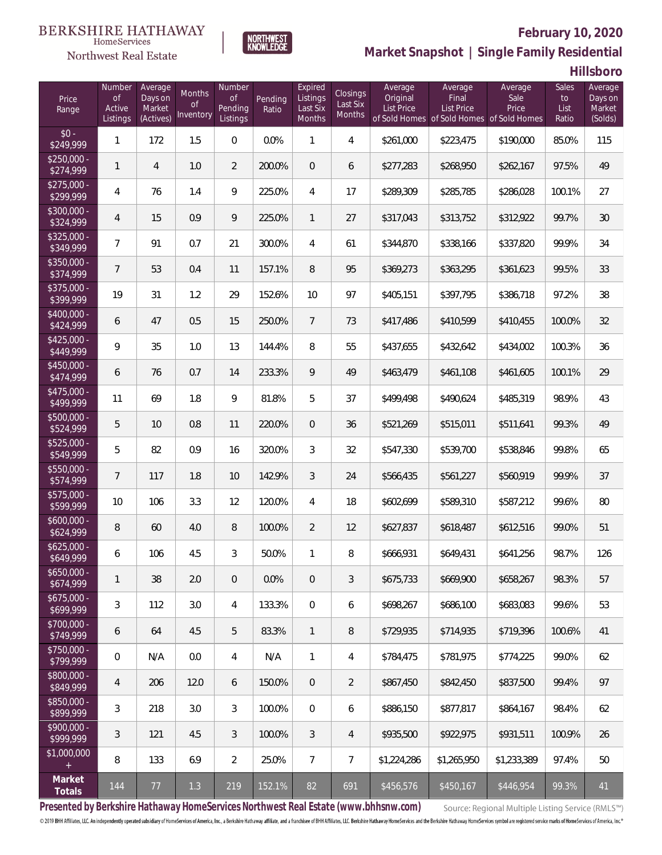#### BERKSHIRE HATHAWAY HomeServices



### **February 10, 2020**

**Market Snapshot | Single Family Residential**

**Hillsboro**

| Price<br>Range            | Number<br>of<br>Active<br>Listings | Average<br>Days on<br>Market<br>(Actives) | Months<br>0f<br>Inventory | Number<br>Οf<br><b>Pending</b><br>Listings | Pending<br>Ratio | Expired<br>Listings<br>Last Six<br>Months | Closings<br>Last Six<br>Months | Average<br>Original<br><b>List Price</b> | Average<br>Final<br>List Price<br>of Sold Homes of Sold Homes of Sold Homes | Average<br>Sale<br>Price | Sales<br>to<br>List<br>Ratio | Average<br>Days on<br>Market<br>(Solds) |
|---------------------------|------------------------------------|-------------------------------------------|---------------------------|--------------------------------------------|------------------|-------------------------------------------|--------------------------------|------------------------------------------|-----------------------------------------------------------------------------|--------------------------|------------------------------|-----------------------------------------|
| $$0 -$<br>\$249,999       | 1                                  | 172                                       | 1.5                       | $\overline{0}$                             | 0.0%             | 1                                         | $\overline{4}$                 | \$261,000                                | \$223,475                                                                   | \$190,000                | 85.0%                        | 115                                     |
| $$250.000 -$<br>\$274,999 | 1                                  | 4                                         | 1.0                       | $\overline{2}$                             | 200.0%           | $\overline{0}$                            | 6                              | \$277,283                                | \$268,950                                                                   | \$262,167                | 97.5%                        | 49                                      |
| $$275,000 -$<br>\$299,999 | 4                                  | 76                                        | 1.4                       | 9                                          | 225.0%           | 4                                         | 17                             | \$289,309                                | \$285,785                                                                   | \$286,028                | 100.1%                       | 27                                      |
| $$300,000 -$<br>\$324,999 | 4                                  | 15                                        | 0.9                       | 9                                          | 225.0%           | $\mathbf{1}$                              | 27                             | \$317,043                                | \$313,752                                                                   | \$312,922                | 99.7%                        | 30                                      |
| $$325,000 -$<br>\$349,999 | 7                                  | 91                                        | 0.7                       | 21                                         | 300.0%           | $\overline{4}$                            | 61                             | \$344,870                                | \$338,166                                                                   | \$337,820                | 99.9%                        | 34                                      |
| \$350,000 -<br>\$374,999  | $7\overline{ }$                    | 53                                        | 0.4                       | 11                                         | 157.1%           | 8                                         | 95                             | \$369,273                                | \$363,295                                                                   | \$361,623                | 99.5%                        | 33                                      |
| $$375,000 -$<br>\$399,999 | 19                                 | 31                                        | 1.2                       | 29                                         | 152.6%           | 10                                        | 97                             | \$405,151                                | \$397,795                                                                   | \$386,718                | 97.2%                        | 38                                      |
| $$400,000 -$<br>\$424,999 | 6                                  | 47                                        | 0.5                       | 15                                         | 250.0%           | $7\overline{ }$                           | 73                             | \$417,486                                | \$410,599                                                                   | \$410.455                | 100.0%                       | 32                                      |
| $$425,000 -$<br>\$449,999 | 9                                  | 35                                        | 1.0                       | 13                                         | 144.4%           | 8                                         | 55                             | \$437,655                                | \$432,642                                                                   | \$434,002                | 100.3%                       | 36                                      |
| $$450,000 -$<br>\$474,999 | 6                                  | 76                                        | 0.7                       | 14                                         | 233.3%           | 9                                         | 49                             | \$463,479                                | \$461,108                                                                   | \$461.605                | 100.1%                       | 29                                      |
| $$475,000 -$<br>\$499,999 | 11                                 | 69                                        | 1.8                       | 9                                          | 81.8%            | 5                                         | 37                             | \$499,498                                | \$490,624                                                                   | \$485,319                | 98.9%                        | 43                                      |
| $$500,000 -$<br>\$524,999 | 5                                  | 10                                        | 0.8                       | 11                                         | 220.0%           | $\overline{0}$                            | 36                             | \$521,269                                | \$515,011                                                                   | \$511,641                | 99.3%                        | 49                                      |
| \$525,000 -<br>\$549,999  | 5                                  | 82                                        | 0.9                       | 16                                         | 320.0%           | 3                                         | 32                             | \$547,330                                | \$539,700                                                                   | \$538,846                | 99.8%                        | 65                                      |
| $$550,000 -$<br>\$574,999 | $\overline{7}$                     | 117                                       | 1.8                       | 10                                         | 142.9%           | 3                                         | 24                             | \$566,435                                | \$561,227                                                                   | \$560,919                | 99.9%                        | 37                                      |
| \$575,000 -<br>\$599,999  | 10                                 | 106                                       | 3.3                       | 12                                         | 120.0%           | 4                                         | 18                             | \$602,699                                | \$589,310                                                                   | \$587,212                | 99.6%                        | 80                                      |
| $$600,000 -$<br>\$624,999 | 8                                  | 60                                        | 4.0                       | $\, 8$                                     | 100.0%           | $\overline{2}$                            | 12                             | \$627,837                                | \$618,487                                                                   | \$612,516                | 99.0%                        | 51                                      |
| $$625,000 -$<br>\$649,999 | 6                                  | 106                                       | 4.5                       | 3                                          | 50.0%            | 1                                         | 8                              | \$666,931                                | \$649,431                                                                   | \$641,256                | 98.7%                        | 126                                     |
| $$650,000 -$<br>\$674,999 | 1                                  | 38                                        | 2.0                       | $\overline{0}$                             | 0.0%             | $\overline{0}$                            | 3                              | \$675,733                                | \$669,900                                                                   | \$658,267                | 98.3%                        | 57                                      |
| $$675,000 -$<br>\$699,999 | 3                                  | 112                                       | 3.0                       | 4                                          | 133.3%           | 0                                         | 6                              | \$698,267                                | \$686,100                                                                   | \$683,083                | 99.6%                        | 53                                      |
| $$700,000 -$<br>\$749,999 | 6                                  | 64                                        | 4.5                       | 5                                          | 83.3%            | $\mathbf{1}$                              | 8                              | \$729,935                                | \$714,935                                                                   | \$719,396                | 100.6%                       | 41                                      |
| $$750,000 -$<br>\$799,999 | $\overline{0}$                     | N/A                                       | 0.0                       | 4                                          | N/A              | $\mathbf{1}$                              | 4                              | \$784,475                                | \$781,975                                                                   | \$774.225                | 99.0%                        | 62                                      |
| $$800,000 -$<br>\$849,999 | 4                                  | 206                                       | 12.0                      | 6                                          | 150.0%           | $\overline{0}$                            | $\overline{2}$                 | \$867,450                                | \$842,450                                                                   | \$837,500                | 99.4%                        | 97                                      |
| $$850,000 -$<br>\$899,999 | 3                                  | 218                                       | 3.0                       | 3                                          | 100.0%           | 0                                         | 6                              | \$886,150                                | \$877,817                                                                   | \$864,167                | 98.4%                        | 62                                      |
| $$900,000 -$<br>\$999,999 | 3                                  | 121                                       | 4.5                       | 3                                          | 100.0%           | 3                                         | 4                              | \$935,500                                | \$922,975                                                                   | \$931,511                | 100.9%                       | 26                                      |
| \$1,000,000               | 8                                  | 133                                       | 6.9                       | $\overline{2}$                             | 25.0%            | $\overline{7}$                            | $\overline{7}$                 | \$1,224,286                              | \$1,265,950                                                                 | \$1,233,389              | 97.4%                        | 50                                      |
| Market<br>Totals          | 144                                | 77                                        | 1.3                       | 219                                        | 152.1%           | 82                                        | 691                            | \$456,576                                | \$450,167                                                                   | \$446,954                | 99.3%                        | 41                                      |

**NORTHWEST**<br>KNOWLEDGE

**Presented by Berkshire Hathaway HomeServices Northwest Real Estate (www.bhhsnw.com)**

Source: Regional Multiple Listing Service (RMLS™)